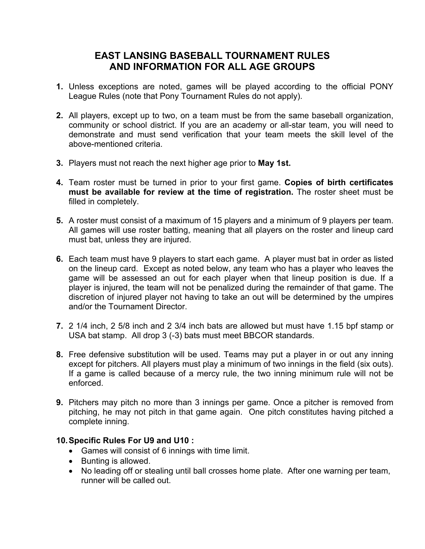# **EAST LANSING BASEBALL TOURNAMENT RULES AND INFORMATION FOR ALL AGE GROUPS**

- **1.** Unless exceptions are noted, games will be played according to the official PONY League Rules (note that Pony Tournament Rules do not apply).
- **2.** All players, except up to two, on a team must be from the same baseball organization, community or school district. If you are an academy or all-star team, you will need to demonstrate and must send verification that your team meets the skill level of the above-mentioned criteria.
- **3.** Players must not reach the next higher age prior to **May 1st.**
- **4.** Team roster must be turned in prior to your first game. **Copies of birth certificates must be available for review at the time of registration.** The roster sheet must be filled in completely.
- **5.** A roster must consist of a maximum of 15 players and a minimum of 9 players per team. All games will use roster batting, meaning that all players on the roster and lineup card must bat, unless they are injured.
- **6.** Each team must have 9 players to start each game. A player must bat in order as listed on the lineup card. Except as noted below, any team who has a player who leaves the game will be assessed an out for each player when that lineup position is due. If a player is injured, the team will not be penalized during the remainder of that game. The discretion of injured player not having to take an out will be determined by the umpires and/or the Tournament Director.
- **7.** 2 1/4 inch, 2 5/8 inch and 2 3/4 inch bats are allowed but must have 1.15 bpf stamp or USA bat stamp. All drop 3 (-3) bats must meet BBCOR standards.
- **8.** Free defensive substitution will be used. Teams may put a player in or out any inning except for pitchers. All players must play a minimum of two innings in the field (six outs). If a game is called because of a mercy rule, the two inning minimum rule will not be enforced.
- **9.** Pitchers may pitch no more than 3 innings per game. Once a pitcher is removed from pitching, he may not pitch in that game again. One pitch constitutes having pitched a complete inning.

## **10.Specific Rules For U9 and U10 :**

- Games will consist of 6 innings with time limit.
- Bunting is allowed.
- No leading off or stealing until ball crosses home plate. After one warning per team, runner will be called out.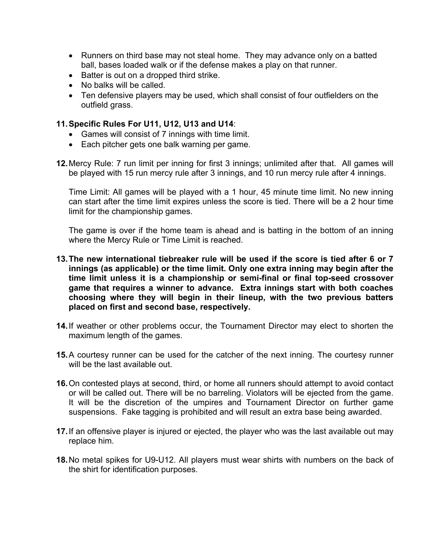- Runners on third base may not steal home. They may advance only on a batted ball, bases loaded walk or if the defense makes a play on that runner.
- Batter is out on a dropped third strike.
- No balks will be called.
- Ten defensive players may be used, which shall consist of four outfielders on the outfield grass.

# **11.Specific Rules For U11, U12, U13 and U14**:

- Games will consist of 7 innings with time limit.
- Each pitcher gets one balk warning per game.
- **12.**Mercy Rule: 7 run limit per inning for first 3 innings; unlimited after that. All games will be played with 15 run mercy rule after 3 innings, and 10 run mercy rule after 4 innings.

Time Limit: All games will be played with a 1 hour, 45 minute time limit. No new inning can start after the time limit expires unless the score is tied. There will be a 2 hour time limit for the championship games.

The game is over if the home team is ahead and is batting in the bottom of an inning where the Mercy Rule or Time Limit is reached.

- **13.The new international tiebreaker rule will be used if the score is tied after 6 or 7 innings (as applicable) or the time limit. Only one extra inning may begin after the time limit unless it is a championship or semi-final or final top-seed crossover game that requires a winner to advance. Extra innings start with both coaches choosing where they will begin in their lineup, with the two previous batters placed on first and second base, respectively.**
- **14.**If weather or other problems occur, the Tournament Director may elect to shorten the maximum length of the games.
- **15.**A courtesy runner can be used for the catcher of the next inning. The courtesy runner will be the last available out.
- **16.**On contested plays at second, third, or home all runners should attempt to avoid contact or will be called out. There will be no barreling. Violators will be ejected from the game. It will be the discretion of the umpires and Tournament Director on further game suspensions. Fake tagging is prohibited and will result an extra base being awarded.
- **17.**If an offensive player is injured or ejected, the player who was the last available out may replace him.
- **18.**No metal spikes for U9-U12. All players must wear shirts with numbers on the back of the shirt for identification purposes.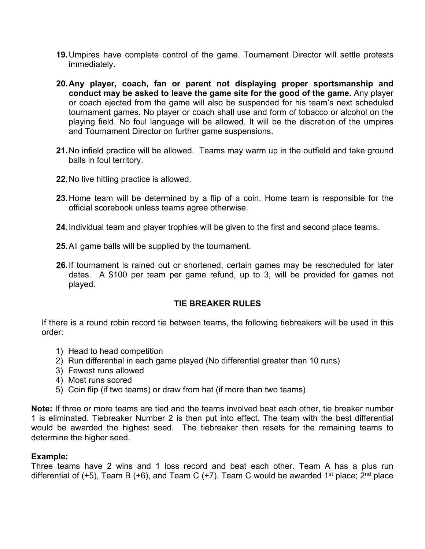- **19.**Umpires have complete control of the game. Tournament Director will settle protests immediately.
- **20.Any player, coach, fan or parent not displaying proper sportsmanship and conduct may be asked to leave the game site for the good of the game.** Any player or coach ejected from the game will also be suspended for his team's next scheduled tournament games. No player or coach shall use and form of tobacco or alcohol on the playing field. No foul language will be allowed. It will be the discretion of the umpires and Tournament Director on further game suspensions.
- **21.**No infield practice will be allowed. Teams may warm up in the outfield and take ground balls in foul territory.
- **22.**No live hitting practice is allowed.
- **23.**Home team will be determined by a flip of a coin. Home team is responsible for the official scorebook unless teams agree otherwise.
- **24.**Individual team and player trophies will be given to the first and second place teams.
- **25.**All game balls will be supplied by the tournament.
- **26.**If tournament is rained out or shortened, certain games may be rescheduled for later dates. A \$100 per team per game refund, up to 3, will be provided for games not played.

## **TIE BREAKER RULES**

If there is a round robin record tie between teams, the following tiebreakers will be used in this order:

- 1) Head to head competition
- 2) Run differential in each game played (No differential greater than 10 runs)
- 3) Fewest runs allowed
- 4) Most runs scored
- 5) Coin flip (if two teams) or draw from hat (if more than two teams)

**Note:** If three or more teams are tied and the teams involved beat each other, tie breaker number 1 is eliminated. Tiebreaker Number 2 is then put into effect. The team with the best differential would be awarded the highest seed. The tiebreaker then resets for the remaining teams to determine the higher seed.

#### **Example:**

Three teams have 2 wins and 1 loss record and beat each other. Team A has a plus run differential of (+5), Team B (+6), and Team C (+7). Team C would be awarded 1<sup>st</sup> place; 2<sup>nd</sup> place